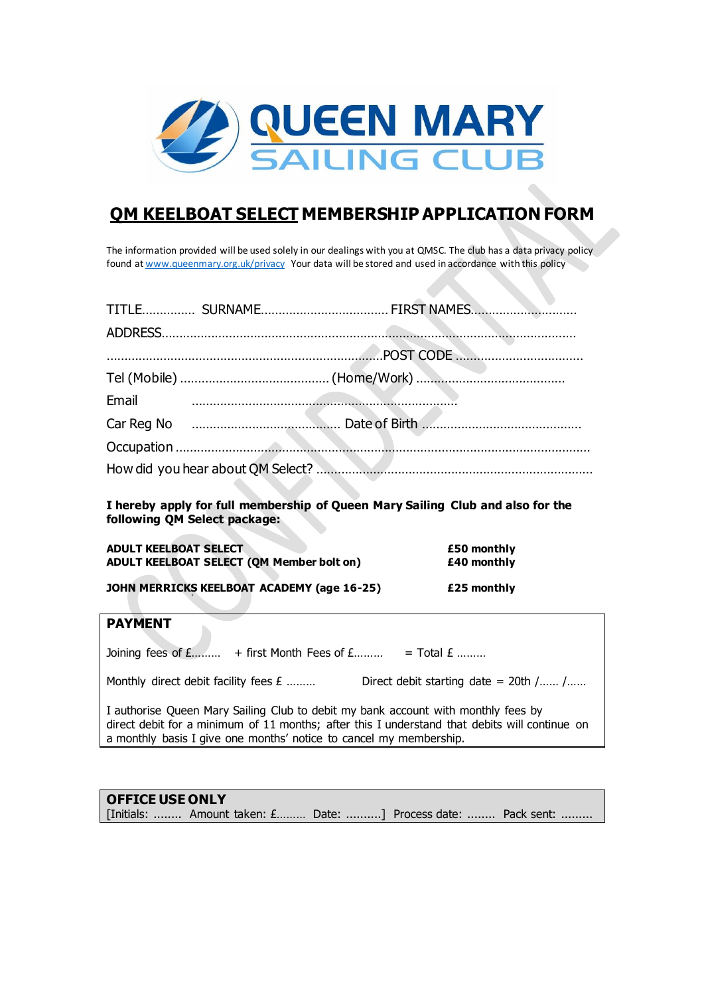

# **QM KEELBOAT SELECT MEMBERSHIP APPLICATION FORM**

The information provided will be used solely in our dealings with you at QMSC. The club has a data privacy policy found at www.queenmary.org.uk/privacy Your data will be stored and used in accordance with this policy

|       | . |
|-------|---|
|       |   |
|       |   |
| Email |   |
|       |   |
|       |   |
|       |   |

**I hereby apply for full membership of Queen Mary Sailing Club and also for the following QM Select package:**

| <b>ADULT KEELBOAT SELECT</b><br>£50 monthly               |  |
|-----------------------------------------------------------|--|
| ADULT KEELBOAT SELECT (QM Member bolt on)<br>£40 monthly  |  |
|                                                           |  |
| JOHN MERRICKS KEELBOAT ACADEMY (age 16-25)<br>£25 monthly |  |

## **PAYMENT**

Joining fees of  $E$ ……… + first Month Fees of  $E$ ……… = Total  $E$  ………

Monthly direct debit facility fees  $E$  ........ Direct debit starting date = 20th /...... /......

I authorise Queen Mary Sailing Club to debit my bank account with monthly fees by direct debit for a minimum of 11 months; after this I understand that debits will continue on a monthly basis I give one months' notice to cancel my membership.

## **OFFICE USE ONLY** [Initials: ........ Amount taken: £……… Date: ..........] Process date: ........ Pack sent: .........